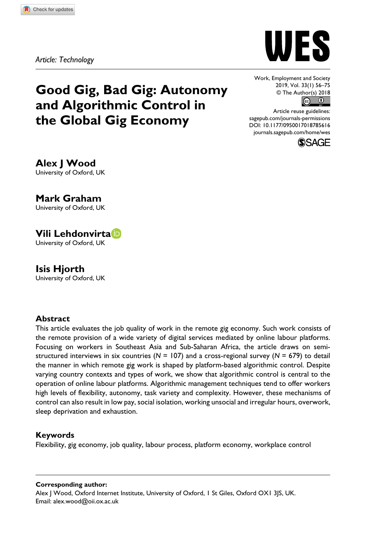*Article: Technology*





Work, Employment and Society 2019, Vol. 33(1) 56–75 © The Author(s) 2018  $\circ$   $\circ$ 

https://doi.org/10.1177/0950017018785616 DOI: 10.1177/0950017018785616 Article reuse guidelines: [sagepub.com/journals-permissions](https://uk.sagepub.com/en-gb/journals-permissions) [journals.sagepub.com/home/wes](https://journals.sagepub.com/home/wes)



**Alex J Wood** University of Oxford, UK

**Mark Graham** University of Oxford, UK

# **Vili Lehdonvirta** University of Oxford, UK

**Isis Hjorth** University of Oxford, UK

### **Abstract**

This article evaluates the job quality of work in the remote gig economy. Such work consists of the remote provision of a wide variety of digital services mediated by online labour platforms. Focusing on workers in Southeast Asia and Sub-Saharan Africa, the article draws on semistructured interviews in six countries (*N* = 107) and a cross-regional survey (*N* = 679) to detail the manner in which remote gig work is shaped by platform-based algorithmic control. Despite varying country contexts and types of work, we show that algorithmic control is central to the operation of online labour platforms. Algorithmic management techniques tend to offer workers high levels of flexibility, autonomy, task variety and complexity. However, these mechanisms of control can also result in low pay, social isolation, working unsocial and irregular hours, overwork, sleep deprivation and exhaustion.

# **Keywords**

Flexibility, gig economy, job quality, labour process, platform economy, workplace control

**Corresponding author:**

Alex J Wood, Oxford Internet Institute, University of Oxford, 1 St Giles, Oxford OX1 3JS, UK. Email: [alex.wood@oii.ox.ac.uk](mailto:alex.wood@oii.ox.ac.uk)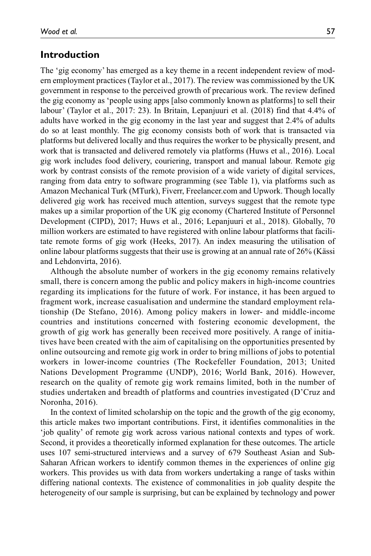### **Introduction**

The 'gig economy' has emerged as a key theme in a recent independent review of modern employment practices (Taylor et al., 2017). The review was commissioned by the UK government in response to the perceived growth of precarious work. The review defined the gig economy as 'people using apps [also commonly known as platforms] to sell their labour' (Taylor et al., 2017: 23). In Britain, Lepanjuuri et al. (2018) find that 4.4% of adults have worked in the gig economy in the last year and suggest that 2.4% of adults do so at least monthly. The gig economy consists both of work that is transacted via platforms but delivered locally and thus requires the worker to be physically present, and work that is transacted and delivered remotely via platforms (Huws et al., 2016). Local gig work includes food delivery, couriering, transport and manual labour. Remote gig work by contrast consists of the remote provision of a wide variety of digital services, ranging from data entry to software programming (see Table 1), via platforms such as Amazon Mechanical Turk (MTurk), Fiverr, Freelancer.com and Upwork. Though locally delivered gig work has received much attention, surveys suggest that the remote type makes up a similar proportion of the UK gig economy (Chartered Institute of Personnel Development (CIPD), 2017; Huws et al., 2016; Lepanjuuri et al., 2018). Globally, 70 million workers are estimated to have registered with online labour platforms that facilitate remote forms of gig work (Heeks, 2017). An index measuring the utilisation of online labour platforms suggests that their use is growing at an annual rate of 26% (Kässi and Lehdonvirta, 2016).

Although the absolute number of workers in the gig economy remains relatively small, there is concern among the public and policy makers in high-income countries regarding its implications for the future of work. For instance, it has been argued to fragment work, increase casualisation and undermine the standard employment relationship (De Stefano, 2016). Among policy makers in lower- and middle-income countries and institutions concerned with fostering economic development, the growth of gig work has generally been received more positively. A range of initiatives have been created with the aim of capitalising on the opportunities presented by online outsourcing and remote gig work in order to bring millions of jobs to potential workers in lower-income countries (The Rockefeller Foundation, 2013; United Nations Development Programme (UNDP), 2016; World Bank, 2016). However, research on the quality of remote gig work remains limited, both in the number of studies undertaken and breadth of platforms and countries investigated (D'Cruz and Noronha, 2016).

In the context of limited scholarship on the topic and the growth of the gig economy, this article makes two important contributions. First, it identifies commonalities in the 'job quality' of remote gig work across various national contexts and types of work. Second, it provides a theoretically informed explanation for these outcomes. The article uses 107 semi-structured interviews and a survey of 679 Southeast Asian and Sub-Saharan African workers to identify common themes in the experiences of online gig workers. This provides us with data from workers undertaking a range of tasks within differing national contexts. The existence of commonalities in job quality despite the heterogeneity of our sample is surprising, but can be explained by technology and power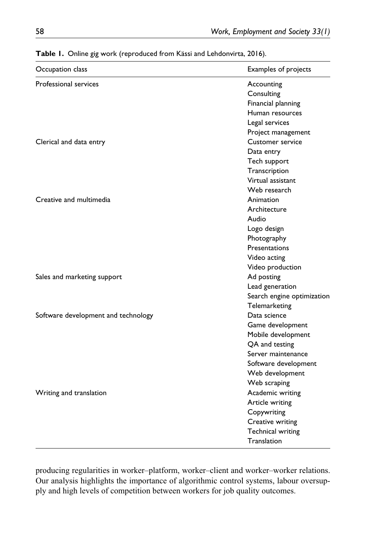| Occupation class                    | Examples of projects       |
|-------------------------------------|----------------------------|
| Professional services               | Accounting                 |
|                                     | Consulting                 |
|                                     | Financial planning         |
|                                     | Human resources            |
|                                     | Legal services             |
|                                     | Project management         |
| Clerical and data entry             | <b>Customer service</b>    |
|                                     | Data entry                 |
|                                     | Tech support               |
|                                     | Transcription              |
|                                     | Virtual assistant          |
|                                     | Web research               |
| Creative and multimedia             | Animation                  |
|                                     | Architecture               |
|                                     | Audio                      |
|                                     | Logo design                |
|                                     | Photography                |
|                                     | Presentations              |
|                                     | Video acting               |
|                                     | Video production           |
| Sales and marketing support         | Ad posting                 |
|                                     | Lead generation            |
|                                     | Search engine optimization |
|                                     | Telemarketing              |
| Software development and technology | Data science               |
|                                     | Game development           |
|                                     | Mobile development         |
|                                     | QA and testing             |
|                                     | Server maintenance         |
|                                     | Software development       |
|                                     | Web development            |
|                                     | Web scraping               |
| Writing and translation             | Academic writing           |
|                                     | Article writing            |
|                                     | Copywriting                |
|                                     | Creative writing           |
|                                     | <b>Technical writing</b>   |
|                                     | Translation                |
|                                     |                            |

**Table 1.** Online gig work (reproduced from Kässi and Lehdonvirta, 2016).

producing regularities in worker–platform, worker–client and worker–worker relations. Our analysis highlights the importance of algorithmic control systems, labour oversupply and high levels of competition between workers for job quality outcomes.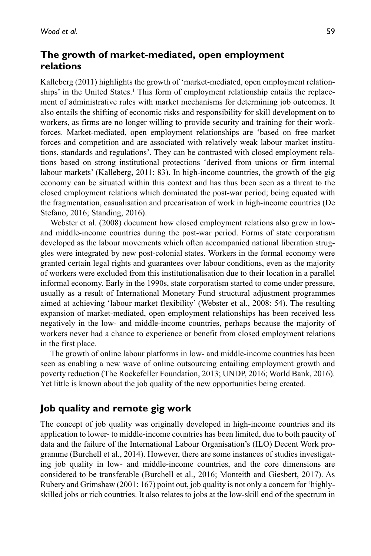# **The growth of market-mediated, open employment relations**

Kalleberg (2011) highlights the growth of 'market-mediated, open employment relationships' in the United States.<sup>1</sup> This form of employment relationship entails the replacement of administrative rules with market mechanisms for determining job outcomes. It also entails the shifting of economic risks and responsibility for skill development on to workers, as firms are no longer willing to provide security and training for their workforces. Market-mediated, open employment relationships are 'based on free market forces and competition and are associated with relatively weak labour market institutions, standards and regulations'. They can be contrasted with closed employment relations based on strong institutional protections 'derived from unions or firm internal labour markets' (Kalleberg, 2011: 83). In high-income countries, the growth of the gig economy can be situated within this context and has thus been seen as a threat to the closed employment relations which dominated the post-war period; being equated with the fragmentation, casualisation and precarisation of work in high-income countries (De Stefano, 2016; Standing, 2016).

Webster et al. (2008) document how closed employment relations also grew in lowand middle-income countries during the post-war period. Forms of state corporatism developed as the labour movements which often accompanied national liberation struggles were integrated by new post-colonial states. Workers in the formal economy were granted certain legal rights and guarantees over labour conditions, even as the majority of workers were excluded from this institutionalisation due to their location in a parallel informal economy. Early in the 1990s, state corporatism started to come under pressure, usually as a result of International Monetary Fund structural adjustment programmes aimed at achieving 'labour market flexibility' (Webster et al., 2008: 54). The resulting expansion of market-mediated, open employment relationships has been received less negatively in the low- and middle-income countries, perhaps because the majority of workers never had a chance to experience or benefit from closed employment relations in the first place.

The growth of online labour platforms in low- and middle-income countries has been seen as enabling a new wave of online outsourcing entailing employment growth and poverty reduction (The Rockefeller Foundation, 2013; UNDP, 2016; World Bank, 2016). Yet little is known about the job quality of the new opportunities being created.

# **Job quality and remote gig work**

The concept of job quality was originally developed in high-income countries and its application to lower- to middle-income countries has been limited, due to both paucity of data and the failure of the International Labour Organisation's (ILO) Decent Work programme (Burchell et al., 2014). However, there are some instances of studies investigating job quality in low- and middle-income countries, and the core dimensions are considered to be transferable (Burchell et al., 2016; Monteith and Giesbert, 2017). As Rubery and Grimshaw (2001: 167) point out, job quality is not only a concern for 'highlyskilled jobs or rich countries. It also relates to jobs at the low-skill end of the spectrum in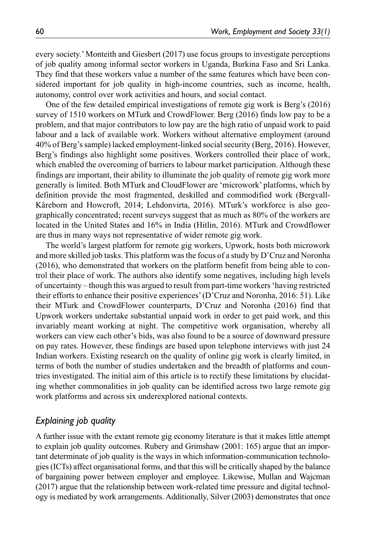every society.' Monteith and Giesbert (2017) use focus groups to investigate perceptions of job quality among informal sector workers in Uganda, Burkina Faso and Sri Lanka. They find that these workers value a number of the same features which have been considered important for job quality in high-income countries, such as income, health, autonomy, control over work activities and hours, and social contact.

One of the few detailed empirical investigations of remote gig work is Berg's (2016) survey of 1510 workers on MTurk and CrowdFlower. Berg (2016) finds low pay to be a problem, and that major contributors to low pay are the high ratio of unpaid work to paid labour and a lack of available work. Workers without alternative employment (around 40% of Berg's sample) lacked employment-linked social security (Berg, 2016). However, Berg's findings also highlight some positives. Workers controlled their place of work, which enabled the overcoming of barriers to labour market participation. Although these findings are important, their ability to illuminate the job quality of remote gig work more generally is limited. Both MTurk and CloudFlower are 'microwork' platforms, which by definition provide the most fragmented, deskilled and commodified work (Bergvall-Kåreborn and Howcroft, 2014; Lehdonvirta, 2016). MTurk's workforce is also geographically concentrated; recent surveys suggest that as much as 80% of the workers are located in the United States and 16% in India (Hitlin, 2016). MTurk and Crowdflower are thus in many ways not representative of wider remote gig work.

The world's largest platform for remote gig workers, Upwork, hosts both microwork and more skilled job tasks. This platform was the focus of a study by D'Cruz and Noronha (2016), who demonstrated that workers on the platform benefit from being able to control their place of work. The authors also identify some negatives, including high levels of uncertainty – though this was argued to result from part-time workers 'having restricted their efforts to enhance their positive experiences' (D'Cruz and Noronha, 2016: 51). Like their MTurk and CrowdFlower counterparts, D'Cruz and Noronha (2016) find that Upwork workers undertake substantial unpaid work in order to get paid work, and this invariably meant working at night. The competitive work organisation, whereby all workers can view each other's bids, was also found to be a source of downward pressure on pay rates. However, these findings are based upon telephone interviews with just 24 Indian workers. Existing research on the quality of online gig work is clearly limited, in terms of both the number of studies undertaken and the breadth of platforms and countries investigated. The initial aim of this article is to rectify these limitations by elucidating whether commonalities in job quality can be identified across two large remote gig work platforms and across six underexplored national contexts.

# *Explaining job quality*

A further issue with the extant remote gig economy literature is that it makes little attempt to explain job quality outcomes. Rubery and Grimshaw (2001: 165) argue that an important determinate of job quality is the ways in which information-communication technologies (ICTs) affect organisational forms, and that this will be critically shaped by the balance of bargaining power between employer and employee. Likewise, Mullan and Wajcman (2017) argue that the relationship between work-related time pressure and digital technology is mediated by work arrangements. Additionally, Silver (2003) demonstrates that once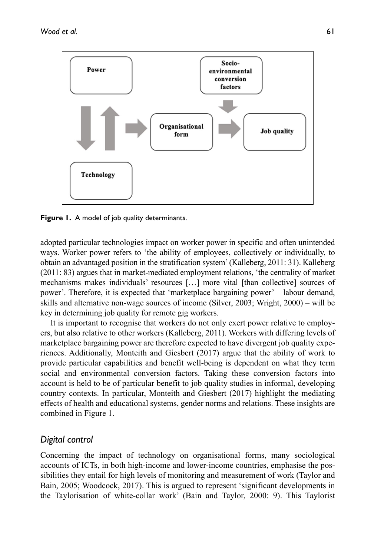

**Figure 1.** A model of job quality determinants.

adopted particular technologies impact on worker power in specific and often unintended ways. Worker power refers to 'the ability of employees, collectively or individually, to obtain an advantaged position in the stratification system' (Kalleberg, 2011: 31). Kalleberg (2011: 83) argues that in market-mediated employment relations, 'the centrality of market mechanisms makes individuals' resources […] more vital [than collective] sources of power'. Therefore, it is expected that 'marketplace bargaining power' – labour demand, skills and alternative non-wage sources of income (Silver, 2003; Wright, 2000) – will be key in determining job quality for remote gig workers.

It is important to recognise that workers do not only exert power relative to employers, but also relative to other workers (Kalleberg, 2011). Workers with differing levels of marketplace bargaining power are therefore expected to have divergent job quality experiences. Additionally, Monteith and Giesbert (2017) argue that the ability of work to provide particular capabilities and benefit well-being is dependent on what they term social and environmental conversion factors. Taking these conversion factors into account is held to be of particular benefit to job quality studies in informal, developing country contexts. In particular, Monteith and Giesbert (2017) highlight the mediating effects of health and educational systems, gender norms and relations. These insights are combined in Figure 1.

### *Digital control*

Concerning the impact of technology on organisational forms, many sociological accounts of ICTs, in both high-income and lower-income countries, emphasise the possibilities they entail for high levels of monitoring and measurement of work (Taylor and Bain, 2005; Woodcock, 2017). This is argued to represent 'significant developments in the Taylorisation of white-collar work' (Bain and Taylor, 2000: 9). This Taylorist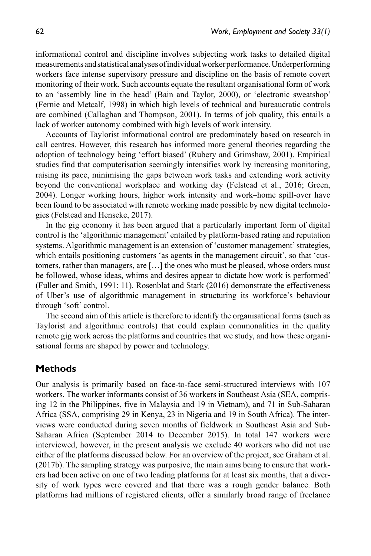informational control and discipline involves subjecting work tasks to detailed digital measurements and statistical analyses of individual worker performance. Underperforming workers face intense supervisory pressure and discipline on the basis of remote covert monitoring of their work. Such accounts equate the resultant organisational form of work to an 'assembly line in the head' (Bain and Taylor, 2000), or 'electronic sweatshop' (Fernie and Metcalf, 1998) in which high levels of technical and bureaucratic controls are combined (Callaghan and Thompson, 2001). In terms of job quality, this entails a lack of worker autonomy combined with high levels of work intensity.

Accounts of Taylorist informational control are predominately based on research in call centres. However, this research has informed more general theories regarding the adoption of technology being 'effort biased' (Rubery and Grimshaw, 2001). Empirical studies find that computerisation seemingly intensifies work by increasing monitoring, raising its pace, minimising the gaps between work tasks and extending work activity beyond the conventional workplace and working day (Felstead et al., 2016; Green, 2004). Longer working hours, higher work intensity and work–home spill-over have been found to be associated with remote working made possible by new digital technologies (Felstead and Henseke, 2017).

In the gig economy it has been argued that a particularly important form of digital control is the 'algorithmic management' entailed by platform-based rating and reputation systems. Algorithmic management is an extension of 'customer management' strategies, which entails positioning customers 'as agents in the management circuit', so that 'customers, rather than managers, are […] the ones who must be pleased, whose orders must be followed, whose ideas, whims and desires appear to dictate how work is performed' (Fuller and Smith, 1991: 11). Rosenblat and Stark (2016) demonstrate the effectiveness of Uber's use of algorithmic management in structuring its workforce's behaviour through 'soft' control.

The second aim of this article is therefore to identify the organisational forms (such as Taylorist and algorithmic controls) that could explain commonalities in the quality remote gig work across the platforms and countries that we study, and how these organisational forms are shaped by power and technology.

# **Methods**

Our analysis is primarily based on face-to-face semi-structured interviews with 107 workers. The worker informants consist of 36 workers in Southeast Asia (SEA, comprising 12 in the Philippines, five in Malaysia and 19 in Vietnam), and 71 in Sub-Saharan Africa (SSA, comprising 29 in Kenya, 23 in Nigeria and 19 in South Africa). The interviews were conducted during seven months of fieldwork in Southeast Asia and Sub-Saharan Africa (September 2014 to December 2015). In total 147 workers were interviewed, however, in the present analysis we exclude 40 workers who did not use either of the platforms discussed below. For an overview of the project, see Graham et al. (2017b). The sampling strategy was purposive, the main aims being to ensure that workers had been active on one of two leading platforms for at least six months, that a diversity of work types were covered and that there was a rough gender balance. Both platforms had millions of registered clients, offer a similarly broad range of freelance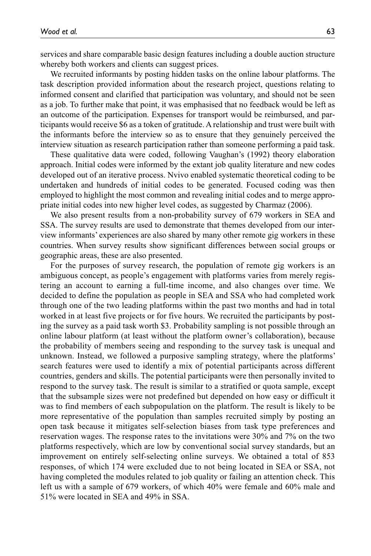services and share comparable basic design features including a double auction structure whereby both workers and clients can suggest prices.

We recruited informants by posting hidden tasks on the online labour platforms. The task description provided information about the research project, questions relating to informed consent and clarified that participation was voluntary, and should not be seen as a job. To further make that point, it was emphasised that no feedback would be left as an outcome of the participation. Expenses for transport would be reimbursed, and participants would receive \$6 as a token of gratitude. A relationship and trust were built with the informants before the interview so as to ensure that they genuinely perceived the interview situation as research participation rather than someone performing a paid task.

These qualitative data were coded, following Vaughan's (1992) theory elaboration approach. Initial codes were informed by the extant job quality literature and new codes developed out of an iterative process. Nvivo enabled systematic theoretical coding to be undertaken and hundreds of initial codes to be generated. Focused coding was then employed to highlight the most common and revealing initial codes and to merge appropriate initial codes into new higher level codes, as suggested by Charmaz (2006).

We also present results from a non-probability survey of 679 workers in SEA and SSA. The survey results are used to demonstrate that themes developed from our interview informants' experiences are also shared by many other remote gig workers in these countries. When survey results show significant differences between social groups or geographic areas, these are also presented.

For the purposes of survey research, the population of remote gig workers is an ambiguous concept, as people's engagement with platforms varies from merely registering an account to earning a full-time income, and also changes over time. We decided to define the population as people in SEA and SSA who had completed work through one of the two leading platforms within the past two months and had in total worked in at least five projects or for five hours. We recruited the participants by posting the survey as a paid task worth \$3. Probability sampling is not possible through an online labour platform (at least without the platform owner's collaboration), because the probability of members seeing and responding to the survey task is unequal and unknown. Instead, we followed a purposive sampling strategy, where the platforms' search features were used to identify a mix of potential participants across different countries, genders and skills. The potential participants were then personally invited to respond to the survey task. The result is similar to a stratified or quota sample, except that the subsample sizes were not predefined but depended on how easy or difficult it was to find members of each subpopulation on the platform. The result is likely to be more representative of the population than samples recruited simply by posting an open task because it mitigates self-selection biases from task type preferences and reservation wages. The response rates to the invitations were 30% and 7% on the two platforms respectively, which are low by conventional social survey standards, but an improvement on entirely self-selecting online surveys. We obtained a total of 853 responses, of which 174 were excluded due to not being located in SEA or SSA, not having completed the modules related to job quality or failing an attention check. This left us with a sample of 679 workers, of which 40% were female and 60% male and 51% were located in SEA and 49% in SSA.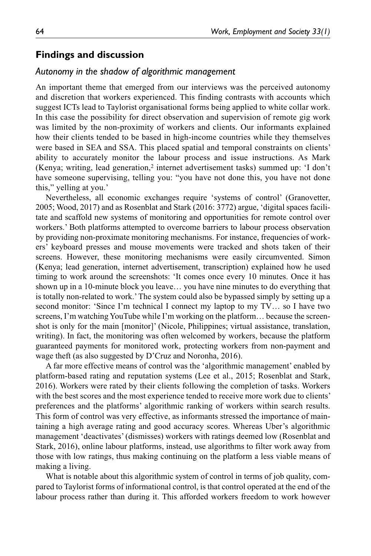### **Findings and discussion**

#### *Autonomy in the shadow of algorithmic management*

An important theme that emerged from our interviews was the perceived autonomy and discretion that workers experienced. This finding contrasts with accounts which suggest ICTs lead to Taylorist organisational forms being applied to white collar work. In this case the possibility for direct observation and supervision of remote gig work was limited by the non-proximity of workers and clients. Our informants explained how their clients tended to be based in high-income countries while they themselves were based in SEA and SSA. This placed spatial and temporal constraints on clients' ability to accurately monitor the labour process and issue instructions. As Mark (Kenya; writing, lead generation,2 internet advertisement tasks) summed up: 'I don't have someone supervising, telling you: "you have not done this, you have not done this," yelling at you.'

Nevertheless, all economic exchanges require 'systems of control' (Granovetter, 2005; Wood, 2017) and as Rosenblat and Stark (2016: 3772) argue, 'digital spaces facilitate and scaffold new systems of monitoring and opportunities for remote control over workers.' Both platforms attempted to overcome barriers to labour process observation by providing non-proximate monitoring mechanisms. For instance, frequencies of workers' keyboard presses and mouse movements were tracked and shots taken of their screens. However, these monitoring mechanisms were easily circumvented. Simon (Kenya; lead generation, internet advertisement, transcription) explained how he used timing to work around the screenshots: 'It comes once every 10 minutes. Once it has shown up in a 10-minute block you leave… you have nine minutes to do everything that is totally non-related to work.' The system could also be bypassed simply by setting up a second monitor: 'Since I'm technical I connect my laptop to my TV… so I have two screens, I'm watching YouTube while I'm working on the platform… because the screenshot is only for the main [monitor]' (Nicole, Philippines; virtual assistance, translation, writing). In fact, the monitoring was often welcomed by workers, because the platform guaranteed payments for monitored work, protecting workers from non-payment and wage theft (as also suggested by D'Cruz and Noronha, 2016).

A far more effective means of control was the 'algorithmic management' enabled by platform-based rating and reputation systems (Lee et al., 2015; Rosenblat and Stark, 2016). Workers were rated by their clients following the completion of tasks. Workers with the best scores and the most experience tended to receive more work due to clients' preferences and the platforms' algorithmic ranking of workers within search results. This form of control was very effective, as informants stressed the importance of maintaining a high average rating and good accuracy scores. Whereas Uber's algorithmic management 'deactivates' (dismisses) workers with ratings deemed low (Rosenblat and Stark, 2016), online labour platforms, instead, use algorithms to filter work away from those with low ratings, thus making continuing on the platform a less viable means of making a living.

What is notable about this algorithmic system of control in terms of job quality, compared to Taylorist forms of informational control, is that control operated at the end of the labour process rather than during it. This afforded workers freedom to work however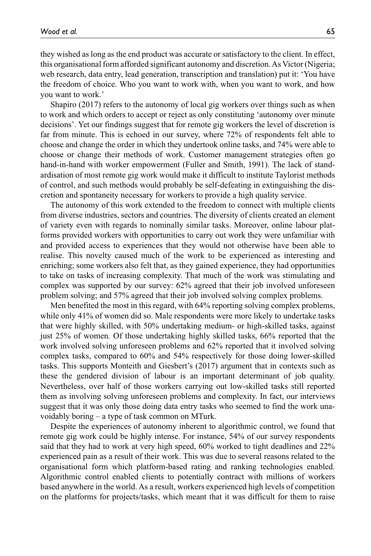they wished as long as the end product was accurate or satisfactory to the client. In effect, this organisational form afforded significant autonomy and discretion. As Victor (Nigeria; web research, data entry, lead generation, transcription and translation) put it: 'You have the freedom of choice. Who you want to work with, when you want to work, and how you want to work.'

Shapiro (2017) refers to the autonomy of local gig workers over things such as when to work and which orders to accept or reject as only constituting 'autonomy over minute decisions'. Yet our findings suggest that for remote gig workers the level of discretion is far from minute. This is echoed in our survey, where 72% of respondents felt able to choose and change the order in which they undertook online tasks, and 74% were able to choose or change their methods of work. Customer management strategies often go hand-in-hand with worker empowerment (Fuller and Smith, 1991). The lack of standardisation of most remote gig work would make it difficult to institute Taylorist methods of control, and such methods would probably be self-defeating in extinguishing the discretion and spontaneity necessary for workers to provide a high quality service.

The autonomy of this work extended to the freedom to connect with multiple clients from diverse industries, sectors and countries. The diversity of clients created an element of variety even with regards to nominally similar tasks. Moreover, online labour platforms provided workers with opportunities to carry out work they were unfamiliar with and provided access to experiences that they would not otherwise have been able to realise. This novelty caused much of the work to be experienced as interesting and enriching; some workers also felt that, as they gained experience, they had opportunities to take on tasks of increasing complexity. That much of the work was stimulating and complex was supported by our survey: 62% agreed that their job involved unforeseen problem solving; and 57% agreed that their job involved solving complex problems.

Men benefited the most in this regard, with 64% reporting solving complex problems, while only 41% of women did so. Male respondents were more likely to undertake tasks that were highly skilled, with 50% undertaking medium- or high-skilled tasks, against just 25% of women. Of those undertaking highly skilled tasks, 66% reported that the work involved solving unforeseen problems and 62% reported that it involved solving complex tasks, compared to 60% and 54% respectively for those doing lower-skilled tasks. This supports Monteith and Giesbert's (2017) argument that in contexts such as these the gendered division of labour is an important determinant of job quality. Nevertheless, over half of those workers carrying out low-skilled tasks still reported them as involving solving unforeseen problems and complexity. In fact, our interviews suggest that it was only those doing data entry tasks who seemed to find the work unavoidably boring – a type of task common on MTurk.

Despite the experiences of autonomy inherent to algorithmic control, we found that remote gig work could be highly intense. For instance, 54% of our survey respondents said that they had to work at very high speed, 60% worked to tight deadlines and 22% experienced pain as a result of their work. This was due to several reasons related to the organisational form which platform-based rating and ranking technologies enabled. Algorithmic control enabled clients to potentially contract with millions of workers based anywhere in the world. As a result, workers experienced high levels of competition on the platforms for projects/tasks, which meant that it was difficult for them to raise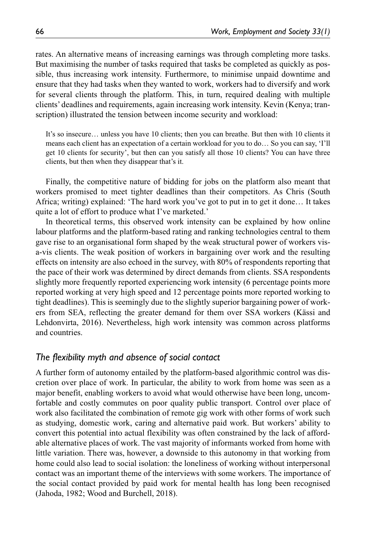rates. An alternative means of increasing earnings was through completing more tasks. But maximising the number of tasks required that tasks be completed as quickly as possible, thus increasing work intensity. Furthermore, to minimise unpaid downtime and ensure that they had tasks when they wanted to work, workers had to diversify and work for several clients through the platform. This, in turn, required dealing with multiple clients' deadlines and requirements, again increasing work intensity. Kevin (Kenya; transcription) illustrated the tension between income security and workload:

It's so insecure… unless you have 10 clients; then you can breathe. But then with 10 clients it means each client has an expectation of a certain workload for you to do… So you can say, 'I'll get 10 clients for security', but then can you satisfy all those 10 clients? You can have three clients, but then when they disappear that's it.

Finally, the competitive nature of bidding for jobs on the platform also meant that workers promised to meet tighter deadlines than their competitors. As Chris (South Africa; writing) explained: 'The hard work you've got to put in to get it done… It takes quite a lot of effort to produce what I've marketed.'

In theoretical terms, this observed work intensity can be explained by how online labour platforms and the platform-based rating and ranking technologies central to them gave rise to an organisational form shaped by the weak structural power of workers visa-vis clients. The weak position of workers in bargaining over work and the resulting effects on intensity are also echoed in the survey, with 80% of respondents reporting that the pace of their work was determined by direct demands from clients. SSA respondents slightly more frequently reported experiencing work intensity (6 percentage points more reported working at very high speed and 12 percentage points more reported working to tight deadlines). This is seemingly due to the slightly superior bargaining power of workers from SEA, reflecting the greater demand for them over SSA workers (Kässi and Lehdonvirta, 2016). Nevertheless, high work intensity was common across platforms and countries.

### *The flexibility myth and absence of social contact*

A further form of autonomy entailed by the platform-based algorithmic control was discretion over place of work. In particular, the ability to work from home was seen as a major benefit, enabling workers to avoid what would otherwise have been long, uncomfortable and costly commutes on poor quality public transport. Control over place of work also facilitated the combination of remote gig work with other forms of work such as studying, domestic work, caring and alternative paid work. But workers' ability to convert this potential into actual flexibility was often constrained by the lack of affordable alternative places of work. The vast majority of informants worked from home with little variation. There was, however, a downside to this autonomy in that working from home could also lead to social isolation: the loneliness of working without interpersonal contact was an important theme of the interviews with some workers. The importance of the social contact provided by paid work for mental health has long been recognised (Jahoda, 1982; Wood and Burchell, 2018).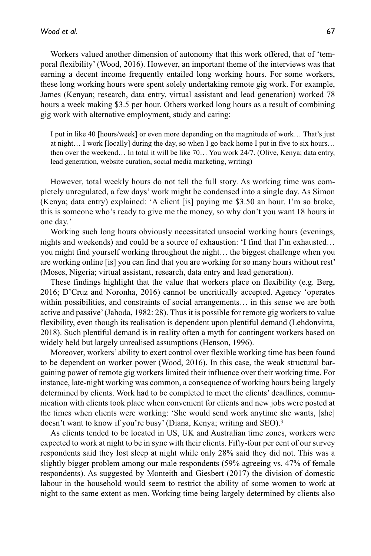Workers valued another dimension of autonomy that this work offered, that of 'temporal flexibility' (Wood, 2016). However, an important theme of the interviews was that earning a decent income frequently entailed long working hours. For some workers, these long working hours were spent solely undertaking remote gig work. For example, James (Kenyan; research, data entry, virtual assistant and lead generation) worked 78 hours a week making \$3.5 per hour. Others worked long hours as a result of combining gig work with alternative employment, study and caring:

I put in like 40 [hours/week] or even more depending on the magnitude of work… That's just at night… I work [locally] during the day, so when I go back home I put in five to six hours… then over the weekend… In total it will be like 70… You work 24/7. (Olive, Kenya; data entry, lead generation, website curation, social media marketing, writing)

However, total weekly hours do not tell the full story. As working time was completely unregulated, a few days' work might be condensed into a single day. As Simon (Kenya; data entry) explained: 'A client [is] paying me \$3.50 an hour. I'm so broke, this is someone who's ready to give me the money, so why don't you want 18 hours in one day.'

Working such long hours obviously necessitated unsocial working hours (evenings, nights and weekends) and could be a source of exhaustion: 'I find that I'm exhausted… you might find yourself working throughout the night… the biggest challenge when you are working online [is] you can find that you are working for so many hours without rest' (Moses, Nigeria; virtual assistant, research, data entry and lead generation).

These findings highlight that the value that workers place on flexibility (e.g. Berg, 2016; D'Cruz and Noronha, 2016) cannot be uncritically accepted. Agency 'operates within possibilities, and constraints of social arrangements… in this sense we are both active and passive' (Jahoda, 1982: 28). Thus it is possible for remote gig workers to value flexibility, even though its realisation is dependent upon plentiful demand (Lehdonvirta, 2018). Such plentiful demand is in reality often a myth for contingent workers based on widely held but largely unrealised assumptions (Henson, 1996).

Moreover, workers' ability to exert control over flexible working time has been found to be dependent on worker power (Wood, 2016). In this case, the weak structural bargaining power of remote gig workers limited their influence over their working time. For instance, late-night working was common, a consequence of working hours being largely determined by clients. Work had to be completed to meet the clients' deadlines, communication with clients took place when convenient for clients and new jobs were posted at the times when clients were working: 'She would send work anytime she wants, [she] doesn't want to know if you're busy' (Diana, Kenya; writing and SEO).3

As clients tended to be located in US, UK and Australian time zones, workers were expected to work at night to be in sync with their clients. Fifty-four per cent of our survey respondents said they lost sleep at night while only 28% said they did not. This was a slightly bigger problem among our male respondents (59% agreeing vs. 47% of female respondents). As suggested by Monteith and Giesbert (2017) the division of domestic labour in the household would seem to restrict the ability of some women to work at night to the same extent as men. Working time being largely determined by clients also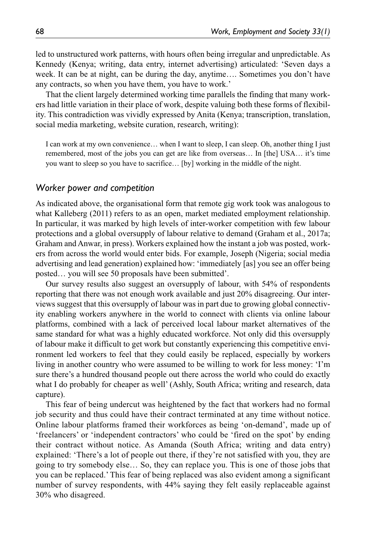led to unstructured work patterns, with hours often being irregular and unpredictable. As Kennedy (Kenya; writing, data entry, internet advertising) articulated: 'Seven days a week. It can be at night, can be during the day, anytime…. Sometimes you don't have any contracts, so when you have them, you have to work.'

That the client largely determined working time parallels the finding that many workers had little variation in their place of work, despite valuing both these forms of flexibility. This contradiction was vividly expressed by Anita (Kenya; transcription, translation, social media marketing, website curation, research, writing):

I can work at my own convenience… when I want to sleep, I can sleep. Oh, another thing I just remembered, most of the jobs you can get are like from overseas… In [the] USA… it's time you want to sleep so you have to sacrifice… [by] working in the middle of the night.

#### *Worker power and competition*

As indicated above, the organisational form that remote gig work took was analogous to what Kalleberg (2011) refers to as an open, market mediated employment relationship. In particular, it was marked by high levels of inter-worker competition with few labour protections and a global oversupply of labour relative to demand (Graham et al., 2017a; Graham and Anwar, in press). Workers explained how the instant a job was posted, workers from across the world would enter bids. For example, Joseph (Nigeria; social media advertising and lead generation) explained how: 'immediately [as] you see an offer being posted… you will see 50 proposals have been submitted'.

Our survey results also suggest an oversupply of labour, with 54% of respondents reporting that there was not enough work available and just 20% disagreeing. Our interviews suggest that this oversupply of labour was in part due to growing global connectivity enabling workers anywhere in the world to connect with clients via online labour platforms, combined with a lack of perceived local labour market alternatives of the same standard for what was a highly educated workforce. Not only did this oversupply of labour make it difficult to get work but constantly experiencing this competitive environment led workers to feel that they could easily be replaced, especially by workers living in another country who were assumed to be willing to work for less money: 'I'm sure there's a hundred thousand people out there across the world who could do exactly what I do probably for cheaper as well' (Ashly, South Africa; writing and research, data capture).

This fear of being undercut was heightened by the fact that workers had no formal job security and thus could have their contract terminated at any time without notice. Online labour platforms framed their workforces as being 'on-demand', made up of 'freelancers' or 'independent contractors' who could be 'fired on the spot' by ending their contract without notice. As Amanda (South Africa; writing and data entry) explained: 'There's a lot of people out there, if they're not satisfied with you, they are going to try somebody else… So, they can replace you. This is one of those jobs that you can be replaced.' This fear of being replaced was also evident among a significant number of survey respondents, with 44% saying they felt easily replaceable against 30% who disagreed.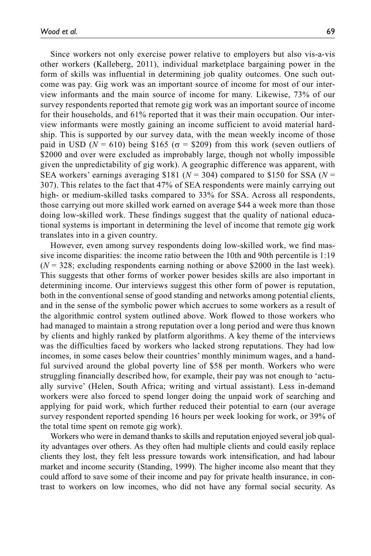Since workers not only exercise power relative to employers but also vis-a-vis other workers (Kalleberg, 2011), individual marketplace bargaining power in the form of skills was influential in determining job quality outcomes. One such outcome was pay. Gig work was an important source of income for most of our interview informants and the main source of income for many. Likewise, 73% of our survey respondents reported that remote gig work was an important source of income for their households, and 61% reported that it was their main occupation. Our interview informants were mostly gaining an income sufficient to avoid material hardship. This is supported by our survey data, with the mean weekly income of those paid in USD ( $N = 610$ ) being \$165 ( $\sigma =$  \$209) from this work (seven outliers of \$2000 and over were excluded as improbably large, though not wholly impossible given the unpredictability of gig work). A geographic difference was apparent, with SEA workers' earnings averaging \$181 ( $N = 304$ ) compared to \$150 for SSA ( $N =$ 307). This relates to the fact that 47% of SEA respondents were mainly carrying out high- or medium-skilled tasks compared to 33% for SSA. Across all respondents, those carrying out more skilled work earned on average \$44 a week more than those doing low-skilled work. These findings suggest that the quality of national educational systems is important in determining the level of income that remote gig work translates into in a given country.

However, even among survey respondents doing low-skilled work, we find massive income disparities: the income ratio between the 10th and 90th percentile is 1:19 (*N* = 328; excluding respondents earning nothing or above \$2000 in the last week). This suggests that other forms of worker power besides skills are also important in determining income. Our interviews suggest this other form of power is reputation, both in the conventional sense of good standing and networks among potential clients, and in the sense of the symbolic power which accrues to some workers as a result of the algorithmic control system outlined above. Work flowed to those workers who had managed to maintain a strong reputation over a long period and were thus known by clients and highly ranked by platform algorithms. A key theme of the interviews was the difficulties faced by workers who lacked strong reputations. They had low incomes, in some cases below their countries' monthly minimum wages, and a handful survived around the global poverty line of \$58 per month. Workers who were struggling financially described how, for example, their pay was not enough to 'actually survive' (Helen, South Africa; writing and virtual assistant). Less in-demand workers were also forced to spend longer doing the unpaid work of searching and applying for paid work, which further reduced their potential to earn (our average survey respondent reported spending 16 hours per week looking for work, or 39% of the total time spent on remote gig work).

Workers who were in demand thanks to skills and reputation enjoyed several job quality advantages over others. As they often had multiple clients and could easily replace clients they lost, they felt less pressure towards work intensification, and had labour market and income security (Standing, 1999). The higher income also meant that they could afford to save some of their income and pay for private health insurance, in contrast to workers on low incomes, who did not have any formal social security. As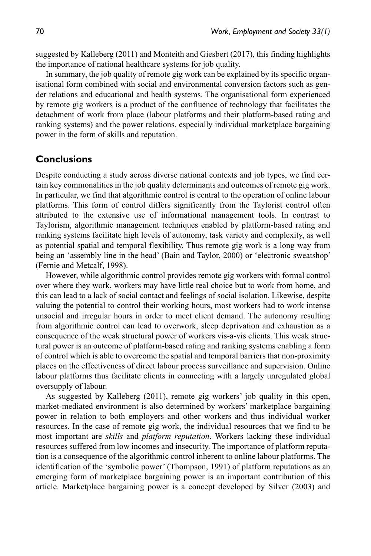suggested by Kalleberg (2011) and Monteith and Giesbert (2017), this finding highlights the importance of national healthcare systems for job quality.

In summary, the job quality of remote gig work can be explained by its specific organisational form combined with social and environmental conversion factors such as gender relations and educational and health systems. The organisational form experienced by remote gig workers is a product of the confluence of technology that facilitates the detachment of work from place (labour platforms and their platform-based rating and ranking systems) and the power relations, especially individual marketplace bargaining power in the form of skills and reputation.

### **Conclusions**

Despite conducting a study across diverse national contexts and job types, we find certain key commonalities in the job quality determinants and outcomes of remote gig work. In particular, we find that algorithmic control is central to the operation of online labour platforms. This form of control differs significantly from the Taylorist control often attributed to the extensive use of informational management tools. In contrast to Taylorism, algorithmic management techniques enabled by platform-based rating and ranking systems facilitate high levels of autonomy, task variety and complexity, as well as potential spatial and temporal flexibility. Thus remote gig work is a long way from being an 'assembly line in the head' (Bain and Taylor, 2000) or 'electronic sweatshop' (Fernie and Metcalf, 1998).

However, while algorithmic control provides remote gig workers with formal control over where they work, workers may have little real choice but to work from home, and this can lead to a lack of social contact and feelings of social isolation. Likewise, despite valuing the potential to control their working hours, most workers had to work intense unsocial and irregular hours in order to meet client demand. The autonomy resulting from algorithmic control can lead to overwork, sleep deprivation and exhaustion as a consequence of the weak structural power of workers vis-a-vis clients. This weak structural power is an outcome of platform-based rating and ranking systems enabling a form of control which is able to overcome the spatial and temporal barriers that non-proximity places on the effectiveness of direct labour process surveillance and supervision. Online labour platforms thus facilitate clients in connecting with a largely unregulated global oversupply of labour.

As suggested by Kalleberg (2011), remote gig workers' job quality in this open, market-mediated environment is also determined by workers' marketplace bargaining power in relation to both employers and other workers and thus individual worker resources. In the case of remote gig work, the individual resources that we find to be most important are *skills* and *platform reputation*. Workers lacking these individual resources suffered from low incomes and insecurity. The importance of platform reputation is a consequence of the algorithmic control inherent to online labour platforms. The identification of the 'symbolic power' (Thompson, 1991) of platform reputations as an emerging form of marketplace bargaining power is an important contribution of this article. Marketplace bargaining power is a concept developed by Silver (2003) and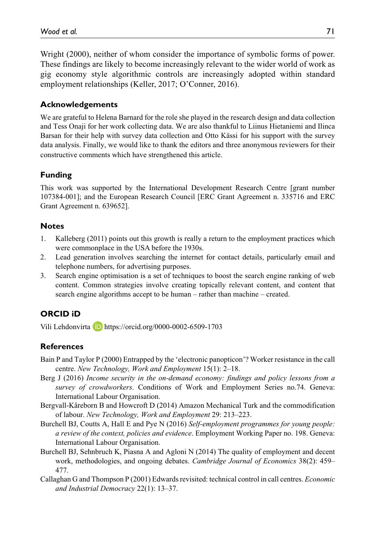Wright (2000), neither of whom consider the importance of symbolic forms of power. These findings are likely to become increasingly relevant to the wider world of work as gig economy style algorithmic controls are increasingly adopted within standard employment relationships (Keller, 2017; O'Conner, 2016).

### **Acknowledgements**

We are grateful to Helena Barnard for the role she played in the research design and data collection and Tess Onaji for her work collecting data. We are also thankful to Liinus Hietaniemi and Ilinca Barsan for their help with survey data collection and Otto Kässi for his support with the survey data analysis. Finally, we would like to thank the editors and three anonymous reviewers for their constructive comments which have strengthened this article.

# **Funding**

This work was supported by the International Development Research Centre [grant number 107384-001]; and the European Research Council [ERC Grant Agreement n. 335716 and ERC Grant Agreement n. 639652].

### **Notes**

- 1. Kalleberg (2011) points out this growth is really a return to the employment practices which were commonplace in the USA before the 1930s.
- 2. Lead generation involves searching the internet for contact details, particularly email and telephone numbers, for advertising purposes.
- 3. Search engine optimisation is a set of techniques to boost the search engine ranking of web content. Common strategies involve creating topically relevant content, and content that search engine algorithms accept to be human – rather than machine – created.

# **ORCID iD**

Vili Lehdonvirta **D** <https://orcid.org/0000-0002-6509-1703>

# **References**

- Bain P and Taylor P (2000) Entrapped by the 'electronic panopticon'? Worker resistance in the call centre. *New Technology, Work and Employment* 15(1): 2–18.
- Berg J (2016) *Income security in the on-demand economy: findings and policy lessons from a survey of crowdworkers*. Conditions of Work and Employment Series no.74. Geneva: International Labour Organisation.
- Bergvall-Kåreborn B and Howcroft D (2014) Amazon Mechanical Turk and the commodification of labour. *New Technology, Work and Employment* 29: 213–223.
- Burchell BJ, Coutts A, Hall E and Pye N (2016) *Self-employment programmes for young people: a review of the context, policies and evidence*. Employment Working Paper no. 198. Geneva: International Labour Organisation.
- Burchell BJ, Sehnbruch K, Piasna A and Agloni N (2014) The quality of employment and decent work, methodologies, and ongoing debates. *Cambridge Journal of Economics* 38(2): 459– 477.
- Callaghan G and Thompson P (2001) Edwards revisited: technical control in call centres. *Economic and Industrial Democracy* 22(1): 13–37.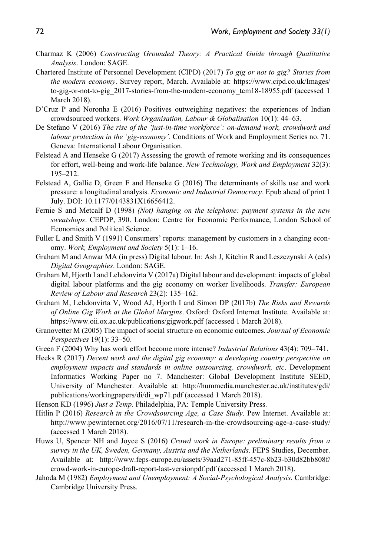- Charmaz K (2006) *Constructing Grounded Theory: A Practical Guide through Qualitative Analysis*. London: SAGE.
- Chartered Institute of Personnel Development (CIPD) (2017) *To gig or not to gig? Stories from the modern economy*. Survey report, March. Available at: [https://www.cipd.co.uk/Images/](https://www.cipd.co.uk/Images/to-gig-or-not-to-gig_2017-stories-from-the-modern-economy_tcm18-18955.pdf) [to-gig-or-not-to-gig\\_2017-stories-from-the-modern-economy\\_tcm18-18955.pdf](https://www.cipd.co.uk/Images/to-gig-or-not-to-gig_2017-stories-from-the-modern-economy_tcm18-18955.pdf) (accessed 1 March 2018).
- D'Cruz P and Noronha E (2016) Positives outweighing negatives: the experiences of Indian crowdsourced workers. *Work Organisation, Labour & Globalisation* 10(1): 44–63.
- De Stefano V (2016) *The rise of the 'just-in-time workforce': on-demand work, crowdwork and labour protection in the 'gig-economy'*. Conditions of Work and Employment Series no. 71. Geneva: International Labour Organisation.
- Felstead A and Henseke G (2017) Assessing the growth of remote working and its consequences for effort, well-being and work-life balance. *New Technology, Work and Employment* 32(3): 195–212.
- Felstead A, Gallie D, Green F and Henseke G (2016) The determinants of skills use and work pressure: a longitudinal analysis. *Economic and Industrial Democracy*. Epub ahead of print 1 July. DOI: 10.1177/0143831X16656412.
- Fernie S and Metcalf D (1998) *(Not) hanging on the telephone: payment systems in the new sweatshops*. CEPDP, 390. London: Centre for Economic Performance, London School of Economics and Political Science.
- Fuller L and Smith V (1991) Consumers' reports: management by customers in a changing economy. *Work, Employment and Society* 5(1): 1–16.
- Graham M and Anwar MA (in press) Digital labour. In: Ash J, Kitchin R and Leszczynski A (eds) *Digital Geographies*. London: SAGE.
- Graham M, Hjorth I and Lehdonvirta V (2017a) Digital labour and development: impacts of global digital labour platforms and the gig economy on worker livelihoods. *Transfer: European Review of Labour and Research* 23(2): 135–162.
- Graham M, Lehdonvirta V, Wood AJ, Hjorth I and Simon DP (2017b) *The Risks and Rewards of Online Gig Work at the Global Margins*. Oxford: Oxford Internet Institute. Available at: <https://www.oii.ox.ac.uk/publications/gigwork.pdf>(accessed 1 March 2018).
- Granovetter M (2005) The impact of social structure on economic outcomes. *Journal of Economic Perspectives* 19(1): 33–50.
- Green F (2004) Why has work effort become more intense? *Industrial Relations* 43(4): 709–741.
- Heeks R (2017) *Decent work and the digital gig economy: a developing country perspective on employment impacts and standards in online outsourcing, crowdwork, etc*. Development Informatics Working Paper no 7. Manchester: Global Development Institute SEED, University of Manchester. Available at: [http://hummedia.manchester.ac.uk/institutes/gdi/](http://hummedia.manchester.ac.uk/institutes/gdi/publications/workingpapers/di/di_wp71.pdf) [publications/workingpapers/di/di\\_wp71.pdf](http://hummedia.manchester.ac.uk/institutes/gdi/publications/workingpapers/di/di_wp71.pdf) (accessed 1 March 2018).
- Henson KD (1996) *Just a Temp*. Philadelphia, PA: Temple University Press.
- Hitlin P (2016) *Research in the Crowdsourcing Age, a Case Study*. Pew Internet. Available at: <http://www.pewinternet.org/2016/07/11/research-in-the-crowdsourcing-age-a-case-study/> (accessed 1 March 2018).
- Huws U, Spencer NH and Joyce S (2016) *Crowd work in Europe: preliminary results from a survey in the UK, Sweden, Germany, Austria and the Netherlands*. FEPS Studies, December. Available at: [http://www.feps-europe.eu/assets/39aad271-85ff-457c-8b23-b30d82bb808f/](http://www.feps-europe.eu/assets/39aad271-85ff-457c-8b23-b30d82bb808f/crowd-work-in-europe-draft-report-last-versionpdf.pdf) [crowd-work-in-europe-draft-report-last-versionpdf.pdf](http://www.feps-europe.eu/assets/39aad271-85ff-457c-8b23-b30d82bb808f/crowd-work-in-europe-draft-report-last-versionpdf.pdf) (accessed 1 March 2018).
- Jahoda M (1982) *Employment and Unemployment: A Social-Psychological Analysis*. Cambridge: Cambridge University Press.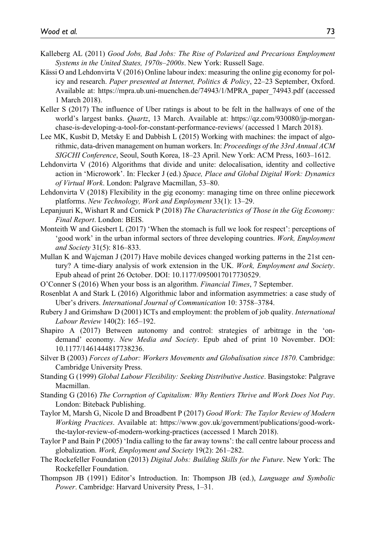- Kalleberg AL (2011) *Good Jobs, Bad Jobs: The Rise of Polarized and Precarious Employment Systems in the United States, 1970s–2000s*. New York: Russell Sage.
- Kässi O and Lehdonvirta V (2016) Online labour index: measuring the online gig economy for policy and research. *Paper presented at Internet, Politics & Policy*, 22–23 September, Oxford. Available at: [https://mpra.ub.uni-muenchen.de/74943/1/MPRA\\_paper\\_74943.pdf](https://mpra.ub.uni-muenchen.de/74943/1/MPRA_paper_74943.pdf) (accessed 1 March 2018).
- Keller S (2017) The influence of Uber ratings is about to be felt in the hallways of one of the world's largest banks. *Quartz*, 13 March. Available at: [https://qz.com/930080/jp-morgan](https://qz.com/930080/jp-morgan-chase-is-developing-a-tool-for-constant-performance-reviews/)[chase-is-developing-a-tool-for-constant-performance-reviews/](https://qz.com/930080/jp-morgan-chase-is-developing-a-tool-for-constant-performance-reviews/) (accessed 1 March 2018).
- Lee MK, Kusbit D, Metsky E and Dabbish L (2015) Working with machines: the impact of algorithmic, data-driven management on human workers. In: *Proceedings of the 33rd Annual ACM SIGCHI Conference*, Seoul, South Korea, 18–23 April. New York: ACM Press, 1603–1612.
- Lehdonvirta V (2016) Algorithms that divide and unite: delocalisation, identity and collective action in 'Microwork'. In: Flecker J (ed.) *Space, Place and Global Digital Work: Dynamics of Virtual Work*. London: Palgrave Macmillan, 53–80.
- Lehdonvirta V (2018) Flexibility in the gig economy: managing time on three online piecework platforms. *New Technology, Work and Employment* 33(1): 13–29.
- Lepanjuuri K, Wishart R and Cornick P (2018) *The Characteristics of Those in the Gig Economy: Final Report*. London: BEIS.
- Monteith W and Giesbert L (2017) 'When the stomach is full we look for respect': perceptions of 'good work' in the urban informal sectors of three developing countries. *Work, Employment and Society* 31(5): 816–833.
- Mullan K and Wajcman J (2017) Have mobile devices changed working patterns in the 21st century? A time-diary analysis of work extension in the UK. *Work, Employment and Society*. Epub ahead of print 26 October. DOI: 10.1177/0950017017730529.
- O'Conner S (2016) When your boss is an algorithm. *Financial Times*, 7 September.
- Rosenblat A and Stark L (2016) Algorithmic labor and information asymmetries: a case study of Uber's drivers. *International Journal of Communication* 10: 3758–3784.
- Rubery J and Grimshaw D (2001) ICTs and employment: the problem of job quality. *International Labour Review* 140(2): 165–192.
- Shapiro A (2017) Between autonomy and control: strategies of arbitrage in the 'ondemand' economy. *New Media and Society*. Epub ahed of print 10 November. DOI: 10.1177/1461444817738236.
- Silver B (2003) *Forces of Labor: Workers Movements and Globalisation since 1870*. Cambridge: Cambridge University Press.
- Standing G (1999) *Global Labour Flexibility: Seeking Distributive Justice*. Basingstoke: Palgrave Macmillan.
- Standing G (2016) *The Corruption of Capitalism: Why Rentiers Thrive and Work Does Not Pay*. London: Biteback Publishing.
- Taylor M, Marsh G, Nicole D and Broadbent P (2017) *Good Work: The Taylor Review of Modern Working Practices*. Available at: [https://www.gov.uk/government/publications/good-work](https://www.gov.uk/government/publications/good-work-the-taylor-review-of-modern-working-practices)[the-taylor-review-of-modern-working-practices](https://www.gov.uk/government/publications/good-work-the-taylor-review-of-modern-working-practices) (accessed 1 March 2018).
- Taylor P and Bain P (2005) 'India calling to the far away towns': the call centre labour process and globalization. *Work, Employment and Society* 19(2): 261–282.
- The Rockefeller Foundation (2013) *Digital Jobs: Building Skills for the Future*. New York: The Rockefeller Foundation.
- Thompson JB (1991) Editor's Introduction. In: Thompson JB (ed.), *Language and Symbolic Power*. Cambridge: Harvard University Press, 1–31.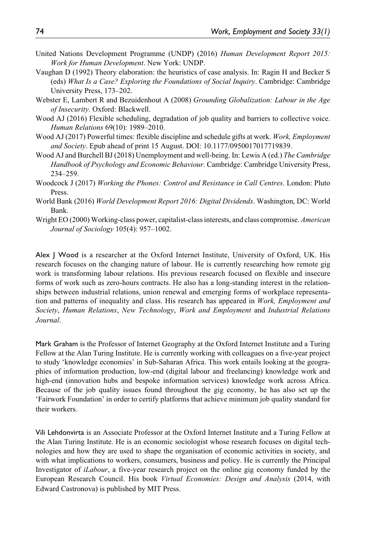- United Nations Development Programme (UNDP) (2016) *Human Development Report 2015: Work for Human Development*. New York: UNDP.
- Vaughan D (1992) Theory elaboration: the heuristics of case analysis. In: Ragin H and Becker S (eds) *What Is a Case? Exploring the Foundations of Social Inquiry*. Cambridge: Cambridge University Press, 173–202.
- Webster E, Lambert R and Bezuidenhout A (2008) *Grounding Globalization: Labour in the Age of Insecurity*. Oxford: Blackwell.
- Wood AJ (2016) Flexible scheduling, degradation of job quality and barriers to collective voice. *Human Relations* 69(10): 1989–2010.
- Wood AJ (2017) Powerful times: flexible discipline and schedule gifts at work. *Work, Employment and Society*. Epub ahead of print 15 August. DOI: 10.1177/0950017017719839.
- Wood AJ and Burchell BJ (2018) Unemployment and well-being. In: Lewis A (ed.) *The Cambridge Handbook of Psychology and Economic Behaviour*. Cambridge: Cambridge University Press, 234–259.
- Woodcock J (2017) *Working the Phones: Control and Resistance in Call Centres*. London: Pluto Press.
- World Bank (2016) *World Development Report 2016: Digital Dividends*. Washington, DC: World Bank.
- Wright EO (2000) Working-class power, capitalist-class interests, and class compromise. *American Journal of Sociology* 105(4): 957–1002.

Alex J Wood is a researcher at the Oxford Internet Institute, University of Oxford, UK. His research focuses on the changing nature of labour. He is currently researching how remote gig work is transforming labour relations. His previous research focused on flexible and insecure forms of work such as zero-hours contracts. He also has a long-standing interest in the relationships between industrial relations, union renewal and emerging forms of workplace representation and patterns of inequality and class. His research has appeared in *Work, Employment and Society*, *Human Relations*, *New Technology*, *Work and Employment* and *Industrial Relations Journal*.

Mark Graham is the Professor of Internet Geography at the Oxford Internet Institute and a Turing Fellow at the Alan Turing Institute. He is currently working with colleagues on a five-year project to study 'knowledge economies' in Sub-Saharan Africa. This work entails looking at the geographies of information production, low-end (digital labour and freelancing) knowledge work and high-end (innovation hubs and bespoke information services) knowledge work across Africa. Because of the job quality issues found throughout the gig economy, he has also set up the 'Fairwork Foundation' in order to certify platforms that achieve minimum job quality standard for their workers.

Vili Lehdonvirta is an Associate Professor at the Oxford Internet Institute and a Turing Fellow at the Alan Turing Institute. He is an economic sociologist whose research focuses on digital technologies and how they are used to shape the organisation of economic activities in society, and with what implications to workers, consumers, business and policy. He is currently the Principal Investigator of *iLabour*, a five-year research project on the online gig economy funded by the European Research Council. His book *Virtual Economies: Design and Analysis* (2014, with Edward Castronova) is published by MIT Press.